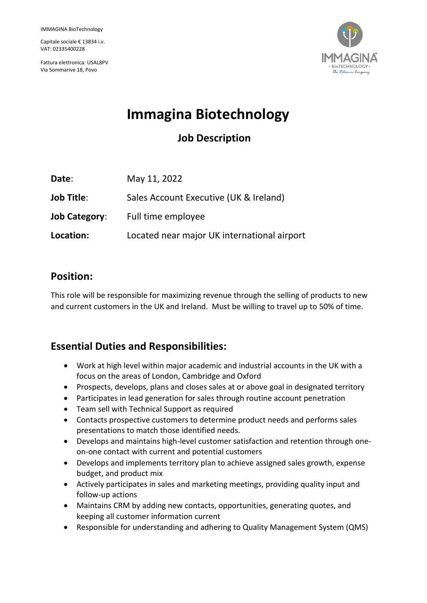Capitale sociale € 13834 i.v. VAT: 02335400228

Fattura elettronica: USAL8PV Via Sommarive 18, Povo



# **Immagina Biotechnology**

# **Job Description**

| Date:                | May 11, 2022                                |
|----------------------|---------------------------------------------|
| <b>Job Title:</b>    | Sales Account Executive (UK & Ireland)      |
| <b>Job Category:</b> | Full time employee                          |
| Location:            | Located near major UK international airport |

### **Position:**

This role will be responsible for maximizing revenue through the selling of products to new and current customers in the UK and Ireland. Must be willing to travel up to 50% of time.

# **Essential Duties and Responsibilities:**

- Work at high level within major academic and industrial accounts in the UK with a focus on the areas of London, Cambridge and Oxford
- Prospects, develops, plans and closes sales at or above goal in designated territory
- Participates in lead generation for sales through routine account penetration
- Team sell with Technical Support as required
- Contacts prospective customers to determine product needs and performs sales presentations to match those identified needs.
- Develops and maintains high-level customer satisfaction and retention through oneon-one contact with current and potential customers
- Develops and implements territory plan to achieve assigned sales growth, expense budget, and product mix
- Actively participates in sales and marketing meetings, providing quality input and follow-up actions
- Maintains CRM by adding new contacts, opportunities, generating quotes, and keeping all customer information current
- Responsible for understanding and adhering to Quality Management System (QMS)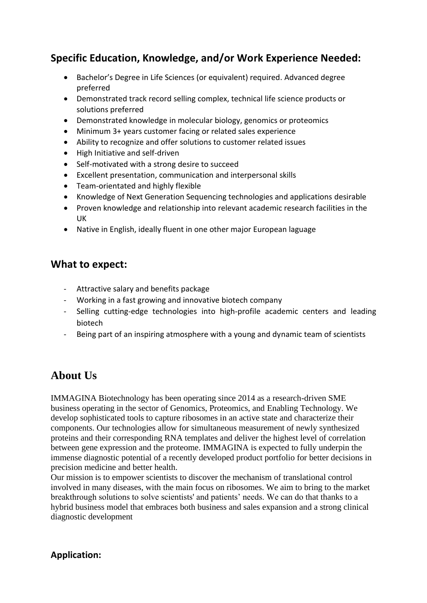### **Specific Education, Knowledge, and/or Work Experience Needed:**

- Bachelor's Degree in Life Sciences (or equivalent) required. Advanced degree preferred
- Demonstrated track record selling complex, technical life science products or solutions preferred
- Demonstrated knowledge in molecular biology, genomics or proteomics
- Minimum 3+ years customer facing or related sales experience
- Ability to recognize and offer solutions to customer related issues
- High Initiative and self-driven
- Self-motivated with a strong desire to succeed
- Excellent presentation, communication and interpersonal skills
- Team-orientated and highly flexible
- Knowledge of Next Generation Sequencing technologies and applications desirable
- Proven knowledge and relationship into relevant academic research facilities in the UK
- Native in English, ideally fluent in one other major European laguage

#### **What to expect:**

- Attractive salary and benefits package
- Working in a fast growing and innovative biotech company
- Selling cutting-edge technologies into high-profile academic centers and leading biotech
- Being part of an inspiring atmosphere with a young and dynamic team of scientists

## **About Us**

IMMAGINA Biotechnology has been operating since 2014 as a research-driven SME business operating in the sector of Genomics, Proteomics, and Enabling Technology. We develop sophisticated tools to capture ribosomes in an active state and characterize their components. Our technologies allow for simultaneous measurement of newly synthesized proteins and their corresponding RNA templates and deliver the highest level of correlation between gene expression and the proteome. IMMAGINA is expected to fully underpin the immense diagnostic potential of a recently developed product portfolio for better decisions in precision medicine and better health.

Our mission is to empower scientists to discover the mechanism of translational control involved in many diseases, with the main focus on ribosomes. We aim to bring to the market breakthrough solutions to solve scientists' and patients' needs. We can do that thanks to a hybrid business model that embraces both business and sales expansion and a strong clinical diagnostic development